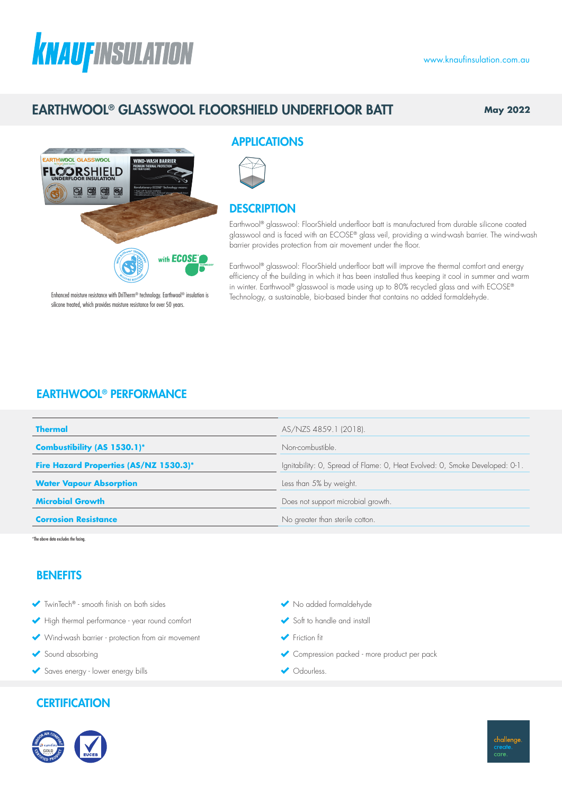# **KNAUFINSULATION**

#### www.knaufinsulation.com.au

# EARTHWOOL® GLASSWOOL FLOORSHIELD UNDERFLOOR BATT

**May 2022**



APPLICATIONS

## **DESCRIPTION**

Earthwool® glasswool: FloorShield underfloor batt is manufactured from durable silicone coated glasswool and is faced with an ECOSE® glass veil, providing a wind-wash barrier. The wind-wash barrier provides protection from air movement under the floor.

Earthwool® glasswool: FloorShield underfloor batt will improve the thermal comfort and energy efficiency of the building in which it has been installed thus keeping it cool in summer and warm in winter. Earthwool® glasswool is made using up to 80% recycled glass and with ECOSE® Technology, a sustainable, bio-based binder that contains no added formaldehyde.

Enhanced moisture resistance with DriTherm® technology. Earthwool® insulation is silicone treated, which provides moisture resistance for over 50 years.

## EARTHWOOL® PERFORMANCE

| <b>Thermal</b>                         | AS/NZS 4859.1 (2018).                                                       |  |  |  |
|----------------------------------------|-----------------------------------------------------------------------------|--|--|--|
| Combustibility (AS 1530.1)*            | Non-combustible.                                                            |  |  |  |
| Fire Hazard Properties (AS/NZ 1530.3)* | Ignitability: O, Spread of Flame: O, Heat Evolved: O, Smoke Developed: 0-1. |  |  |  |
| <b>Water Vapour Absorption</b>         | Less than 5% by weight.                                                     |  |  |  |
| <b>Microbial Growth</b>                | Does not support microbial growth.                                          |  |  |  |
| <b>Corrosion Resistance</b>            | No greater than sterile cotton.                                             |  |  |  |

\*The above data excludes the facing.

## **BENEFITS**

- TwinTech® smooth finish on both sides
- High thermal performance year round comfort
- Wind-wash barrier protection from air movement
- Sound absorbing
- Saves energy lower energy bills

## **CERTIFICATION**



- $\blacklozenge$  No added formaldehyde
- Soft to handle and install
- Friction fit
- Compression packed more product per pack
- ◆ Odourless.

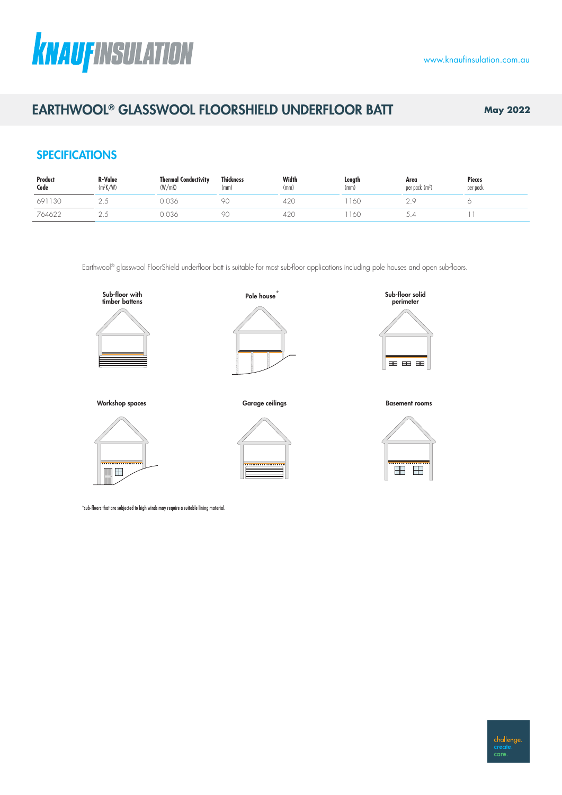# **KNAUFINSULATION**

# EARTHWOOL® GLASSWOOL FLOORSHIELD UNDERFLOOR BATT **May 2022**

## **SPECIFICATIONS**

| Product<br>Code | <b>R-Value</b><br>$(m^2K/W)$ | <b>Thermal Conductivity</b><br>(W/mK) | Thickness<br>(mm) | Width<br>(mm) | Length<br>(mm) | Area<br>per pack (m <sup>2</sup> ) | <b>Pieces</b><br>per pack |
|-----------------|------------------------------|---------------------------------------|-------------------|---------------|----------------|------------------------------------|---------------------------|
| 130<br>691      |                              | 0.036                                 | 90                | 420           | 160            |                                    |                           |
| 764622          | $\sim$                       | 0.036                                 | 90                | 420           | 160            |                                    |                           |

Earthwool® glasswool FloorShield underfloor batt is suitable for most sub-floor applications including pole houses and open sub-floors.





Pole house $\overline{ }$ 

Workshop spaces and the sub-original compare of Garage ceilings and the series of the Basement rooms Garage ceilings Sub-oor solid batter battens Basement rooms Sub-oor solid battens Sub-oor solid battens Sub-oor Su Garage ceilings **Perimeter Workshop spaces Sub-oor with Pole house Sub-oor Sub-oor space of the Sub-oor solid Fole house time b**<br>Basement rooms Sub-oor solid Fole house time solid Fole house time solid Fole house solid Fole house solid Fo





timber battens Garage ceilings Sub-oor solid Basement rooms Sub-oor solid Basement rooms Sub-oor solid Basement rooms Sub-oor solid Basement rooms Sub-oor solid Basement rooms Sub-oor solid Basement rooms Sub-oor solid Bas



\*sub-floors that are subjected to high winds may require a suitable lining material.